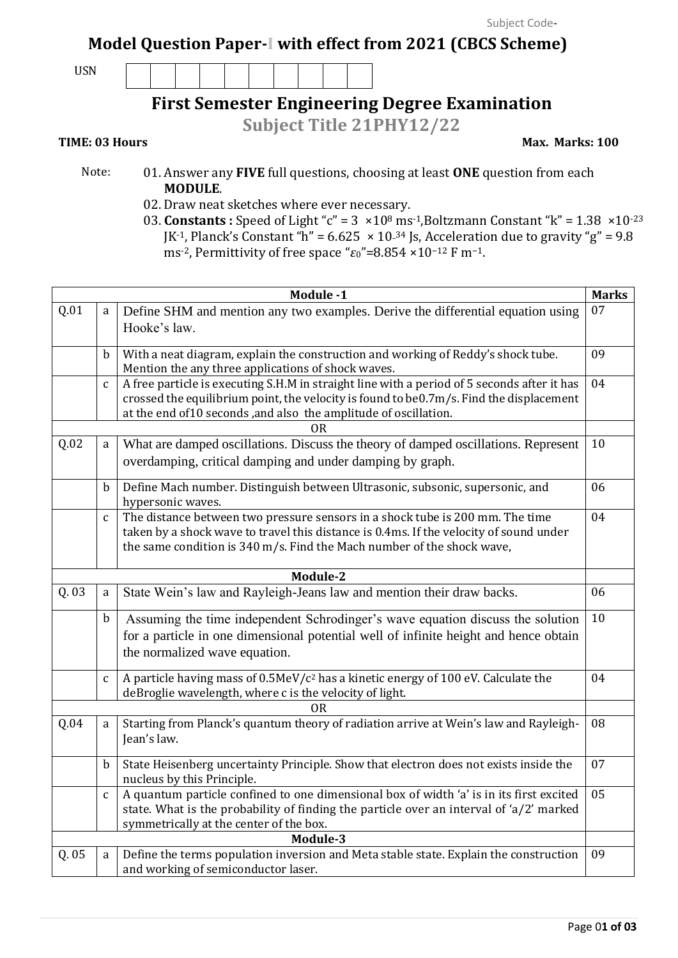## **Model Question Paper-I with effect from 2021 (CBCS Scheme)**

USN

## **First Semester Engineering Degree Examination**

**Subject Title 21PHY12/22**

**TIME: 03 Hours** Max. Marks: 100

- Note: 01. Answer any **FIVE** full questions, choosing at least **ONE** question from each **MODULE**.
	- 02. Draw neat sketches where ever necessary.
	- 03. **Constants :** Speed of Light " $c$ " = 3  $\times$  10<sup>8</sup> ms<sup>-1</sup>, Boltzmann Constant "k" = 1.38  $\times$  10<sup>-23</sup> JK<sup>-1</sup>, Planck's Constant "h" =  $6.625 \times 10^{-34}$  Js, Acceleration due to gravity "g" =  $9.8$ ms-2, Permittivity of free space "*ε*0"=8.854 ×10−<sup>12</sup> F m−1.

|       |              | Module -1                                                                                                                                                                                                                                                 | <b>Marks</b> |
|-------|--------------|-----------------------------------------------------------------------------------------------------------------------------------------------------------------------------------------------------------------------------------------------------------|--------------|
| Q.01  | a            | Define SHM and mention any two examples. Derive the differential equation using<br>Hooke's law.                                                                                                                                                           | 07           |
|       | b            | With a neat diagram, explain the construction and working of Reddy's shock tube.<br>Mention the any three applications of shock waves.                                                                                                                    | 09           |
|       | $\mathbf{C}$ | A free particle is executing S.H.M in straight line with a period of 5 seconds after it has<br>crossed the equilibrium point, the velocity is found to be0.7m/s. Find the displacement<br>at the end of10 seconds, and also the amplitude of oscillation. | 04           |
|       |              | 0R                                                                                                                                                                                                                                                        |              |
| Q.02  | a            | What are damped oscillations. Discuss the theory of damped oscillations. Represent<br>overdamping, critical damping and under damping by graph.                                                                                                           | 10           |
|       | b            | Define Mach number. Distinguish between Ultrasonic, subsonic, supersonic, and<br>hypersonic waves.                                                                                                                                                        | 06           |
|       | $\mathbf{C}$ | The distance between two pressure sensors in a shock tube is 200 mm. The time<br>taken by a shock wave to travel this distance is 0.4ms. If the velocity of sound under<br>the same condition is 340 m/s. Find the Mach number of the shock wave,         | 04           |
|       |              | Module-2                                                                                                                                                                                                                                                  |              |
| Q. 03 | a            | State Wein's law and Rayleigh-Jeans law and mention their draw backs.                                                                                                                                                                                     | 06           |
|       | b            | Assuming the time independent Schrodinger's wave equation discuss the solution<br>for a particle in one dimensional potential well of infinite height and hence obtain<br>the normalized wave equation.                                                   | 10           |
|       | $\mathbf{C}$ | A particle having mass of 0.5MeV/c <sup>2</sup> has a kinetic energy of 100 eV. Calculate the<br>deBroglie wavelength, where c is the velocity of light.                                                                                                  | 04           |
| Q.04  | a            | <b>OR</b><br>Starting from Planck's quantum theory of radiation arrive at Wein's law and Rayleigh-<br>Jean's law.                                                                                                                                         | 08           |
|       | $\mathbf b$  | State Heisenberg uncertainty Principle. Show that electron does not exists inside the<br>nucleus by this Principle.                                                                                                                                       | 07           |
|       | $\mathbf c$  | A quantum particle confined to one dimensional box of width 'a' is in its first excited<br>state. What is the probability of finding the particle over an interval of 'a/2' marked<br>symmetrically at the center of the box.                             | 05           |
|       |              | Module-3                                                                                                                                                                                                                                                  |              |
| Q. 05 | a            | Define the terms population inversion and Meta stable state. Explain the construction<br>and working of semiconductor laser.                                                                                                                              | 09           |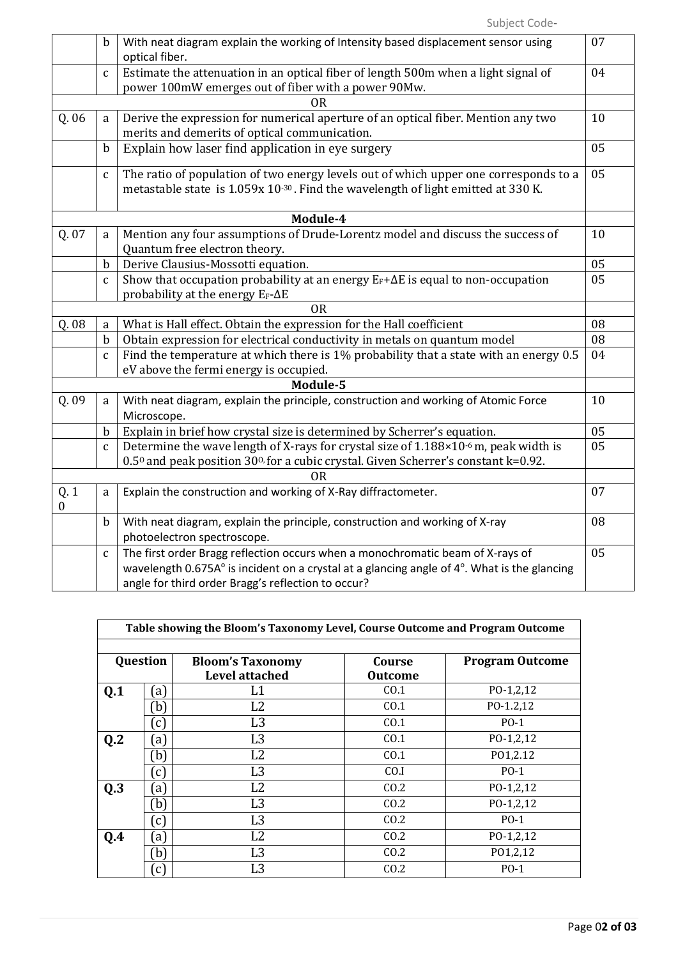|                         | b            | With neat diagram explain the working of Intensity based displacement sensor using<br>optical fiber.                                                                     | 07 |
|-------------------------|--------------|--------------------------------------------------------------------------------------------------------------------------------------------------------------------------|----|
|                         | $\mathbf{C}$ | Estimate the attenuation in an optical fiber of length 500m when a light signal of<br>power 100mW emerges out of fiber with a power 90Mw.                                | 04 |
|                         |              | <b>OR</b>                                                                                                                                                                |    |
| Q. 06                   | a            | Derive the expression for numerical aperture of an optical fiber. Mention any two<br>merits and demerits of optical communication.                                       | 10 |
|                         | $\mathbf b$  | Explain how laser find application in eye surgery                                                                                                                        | 05 |
|                         | $\mathbf c$  | The ratio of population of two energy levels out of which upper one corresponds to a<br>metastable state is 1.059x 10-30. Find the wavelength of light emitted at 330 K. | 05 |
|                         |              | Module-4                                                                                                                                                                 |    |
| Q. 07                   | a            | Mention any four assumptions of Drude-Lorentz model and discuss the success of<br>Quantum free electron theory.                                                          | 10 |
|                         | $\mathbf b$  | Derive Clausius-Mossotti equation.                                                                                                                                       | 05 |
|                         | $\mathsf{C}$ | Show that occupation probability at an energy $E_F + \Delta E$ is equal to non-occupation<br>probability at the energy $E_F-\Delta E$                                    | 05 |
|                         |              | <b>OR</b>                                                                                                                                                                |    |
| Q. 08                   | a            | What is Hall effect. Obtain the expression for the Hall coefficient                                                                                                      | 08 |
|                         | $\mathbf b$  | Obtain expression for electrical conductivity in metals on quantum model                                                                                                 | 08 |
|                         | $\mathbf c$  | Find the temperature at which there is 1% probability that a state with an energy 0.5                                                                                    | 04 |
|                         |              | eV above the fermi energy is occupied.                                                                                                                                   |    |
|                         |              | Module-5                                                                                                                                                                 |    |
| Q. 09                   | a            | With neat diagram, explain the principle, construction and working of Atomic Force<br>Microscope.                                                                        | 10 |
|                         | $\mathbf b$  | Explain in brief how crystal size is determined by Scherrer's equation.                                                                                                  | 05 |
|                         | $\mathbf{C}$ | Determine the wave length of X-rays for crystal size of 1.188×10 <sup>-6</sup> m, peak width is                                                                          | 05 |
|                         |              | 0.50 and peak position 300 for a cubic crystal. Given Scherrer's constant k=0.92.                                                                                        |    |
|                         |              | <b>OR</b>                                                                                                                                                                |    |
| Q.1<br>$\boldsymbol{0}$ | a            | Explain the construction and working of X-Ray diffractometer.                                                                                                            | 07 |
|                         | $\mathbf b$  | With neat diagram, explain the principle, construction and working of X-ray<br>photoelectron spectroscope.                                                               | 08 |
|                         | $\mathbf c$  | The first order Bragg reflection occurs when a monochromatic beam of X-rays of                                                                                           | 05 |
|                         |              | wavelength 0.675A° is incident on a crystal at a glancing angle of 4°. What is the glancing                                                                              |    |
|                         |              | angle for third order Bragg's reflection to occur?                                                                                                                       |    |

| Table showing the Bloom's Taxonomy Level, Course Outcome and Program Outcome |                   |                         |                |                        |  |  |
|------------------------------------------------------------------------------|-------------------|-------------------------|----------------|------------------------|--|--|
|                                                                              |                   |                         |                |                        |  |  |
| Question                                                                     |                   | <b>Bloom's Taxonomy</b> | Course         | <b>Program Outcome</b> |  |  |
|                                                                              |                   | <b>Level attached</b>   | <b>Outcome</b> |                        |  |  |
| Q.1                                                                          | [a]               | L1                      | CO.1           | $PO-1,2,12$            |  |  |
|                                                                              | b)                | L2                      | CO.1           | PO-1.2,12              |  |  |
|                                                                              | $\left[ c\right]$ | L <sub>3</sub>          | CO.1           | $P0-1$                 |  |  |
| Q <sub>2</sub>                                                               | [a]               | L <sub>3</sub>          | CO.1           | $PO-1,2,12$            |  |  |
|                                                                              | b)                | L2                      | CO.1           | P01,2.12               |  |  |
|                                                                              | $\epsilon$ )      | L <sub>3</sub>          | CO.I           | $P0-1$                 |  |  |
| Q.3                                                                          | $\left[ a\right]$ | L2                      | CO.2           | $PO-1,2,12$            |  |  |
|                                                                              | b)                | L <sub>3</sub>          | CO.2           | $P0-1,2,12$            |  |  |
|                                                                              | $\epsilon$ )      | L <sub>3</sub>          | CO.2           | $P0-1$                 |  |  |
| 0.4                                                                          | $\left[ a\right]$ | L2                      | CO.2           | $P0-1,2,12$            |  |  |
|                                                                              | b)                | L <sub>3</sub>          | CO.2           | PO1,2,12               |  |  |
|                                                                              | (c)               | L <sub>3</sub>          | CO.2           | $PO-1$                 |  |  |